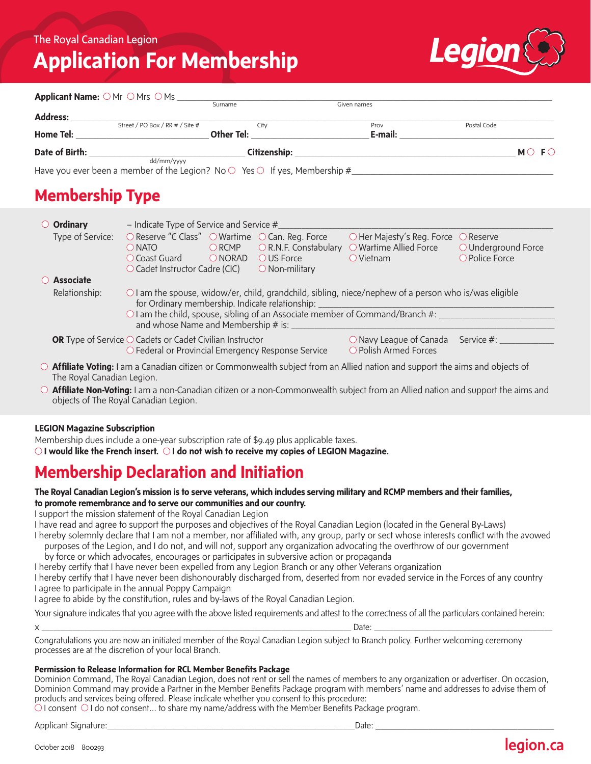# **Application For Membership**



|                | Applicant Name: ○ Mr ○ Mrs ○ Ms _                                                      |              |             |                   |
|----------------|----------------------------------------------------------------------------------------|--------------|-------------|-------------------|
|                |                                                                                        | Surname      | Given names |                   |
| Address:       |                                                                                        |              |             |                   |
|                | Street / PO Box / RR # / Site #                                                        | City         | Prov        | Postal Code       |
| Home Tel:      |                                                                                        | Other Tel:   | E-mail:     |                   |
| Date of Birth: |                                                                                        | Citizenship: |             | $MO$ F $\bigcirc$ |
|                | dd/mm/vvvv                                                                             |              |             |                   |
|                | Have you ever been a member of the Legion? No $\circ$ Yes $\circ$ If yes, Membership # |              |             |                   |

# **Membership Type**

| $\circ$ Ordinary           | - Indicate Type of Service and Service $#$                                                                                                                                                                                                                                                          |                                                              |                                                                                 |                                                    |  |  |
|----------------------------|-----------------------------------------------------------------------------------------------------------------------------------------------------------------------------------------------------------------------------------------------------------------------------------------------------|--------------------------------------------------------------|---------------------------------------------------------------------------------|----------------------------------------------------|--|--|
| Type of Service:           | ○ Reserve "C Class" ○ Wartime ○ Can. Reg. Force<br>ORCMP<br>$\bigcirc$ NATO<br>ONORAD<br>$\bigcirc$ Coast Guard<br>$\circlearrowright$ Cadet Instructor Cadre (CIC)                                                                                                                                 | OR.N.F. Constabulary<br>OUS Force<br>$\bigcirc$ Non-military | ○ Her Majesty's Reg. Force<br>O Wartime Allied Force<br>$\bigcirc$ Vietnam      | O Reserve<br>O Underground Force<br>O Police Force |  |  |
| $\bigcirc$ Associate       |                                                                                                                                                                                                                                                                                                     |                                                              |                                                                                 |                                                    |  |  |
| Relationship:              | $\circ$ I am the spouse, widow/er, child, grandchild, sibling, niece/nephew of a person who is/was eligible<br>for Ordinary membership. Indicate relationship:<br>$\circ$ I am the child, spouse, sibling of an Associate member of Command/Branch #: $\sim$<br>and whose Name and Membership # is: |                                                              |                                                                                 |                                                    |  |  |
|                            | <b>OR</b> Type of Service $\bigcirc$ Cadets or Cadet Civilian Instructor<br>○ Federal or Provincial Emergency Response Service                                                                                                                                                                      |                                                              | $\bigcirc$ Navy League of Canada Service #: $\bigcirc$<br>O Polish Armed Forces |                                                    |  |  |
| The Royal Canadian Legion. | $\circ$ <b>Affiliate Voting:</b> I am a Canadian citizen or Commonwealth subject from an Allied nation and support the aims and objects of                                                                                                                                                          |                                                              |                                                                                 |                                                    |  |  |

**Affiliate Non-Voting:** I am a non-Canadian citizen or a non-Commonwealth subject from an Allied nation and support the aims and objects of The Royal Canadian Legion.

#### **LEGION Magazine Subscription**

Membership dues include a one-year subscription rate of \$9.49 plus applicable taxes.

*OI* **would like the French insert.** *OI* **do not wish to receive my copies of LEGION Magazine.** 

## **Membership Declaration and Initiation**

#### **The Royal Canadian Legion's mission is to serve veterans, which includes serving military and RCMP members and their families, to promote remembrance and to serve our communities and our country.**

I support the mission statement of the Royal Canadian Legion

I have read and agree to support the purposes and objectives of the Royal Canadian Legion (located in the General By-Laws)

I hereby solemnly declare that I am not a member, nor affiliated with, any group, party or sect whose interests conflict with the avowed purposes of the Legion, and I do not, and will not, support any organization advocating the overthrow of our government

by force or which advocates, encourages or participates in subversive action or propaganda

I hereby certify that I have never been expelled from any Legion Branch or any other Veterans organization

I hereby certify that I have never been dishonourably discharged from, deserted from nor evaded service in the Forces of any country I agree to participate in the annual Poppy Campaign

I agree to abide by the constitution, rules and by-laws of the Royal Canadian Legion.

Your signature indicates that you agree with the above listed requirements and attest to the correctness of all the particulars contained herein:

x \_\_\_\_\_\_\_\_\_\_\_\_\_\_\_\_\_\_\_\_\_\_\_\_\_\_\_\_\_\_\_\_\_\_\_\_\_\_\_\_\_\_\_\_\_\_\_\_\_\_\_\_\_\_\_\_\_\_\_\_\_\_\_\_\_\_\_\_\_\_\_\_\_\_\_\_\_\_\_\_ Date: \_\_\_\_\_\_\_\_\_\_\_\_\_\_\_\_\_\_\_\_\_\_\_\_\_\_\_\_\_\_\_\_\_\_\_\_\_\_\_\_\_\_\_\_\_\_

Congratulations you are now an initiated member of the Royal Canadian Legion subject to Branch policy. Further welcoming ceremony processes are at the discretion of your local Branch.

#### **Permission to Release Information for RCL Member Benefits Package**

Dominion Command, The Royal Canadian Legion, does not rent or sell the names of members to any organization or advertiser. On occasion, Dominion Command may provide a Partner in the Member Benefits Package program with members' name and addresses to advise them of products and services being offered. Please indicate whether you consent to this procedure:

 $\bigcirc$  I consent  $\bigcirc$  I do not consent... to share my name/address with the Member Benefits Package program.

Applicant Signature:\_\_\_\_\_\_\_\_\_\_\_\_\_\_\_\_\_\_\_\_\_\_\_\_\_\_\_\_\_\_\_\_\_\_\_\_\_\_\_\_\_\_\_\_\_\_\_\_\_\_\_\_\_\_\_\_\_\_\_\_\_\_\_\_Date: \_\_\_\_\_\_\_\_\_\_\_\_\_\_\_\_\_\_\_\_\_\_\_\_\_\_\_\_\_\_\_\_\_\_